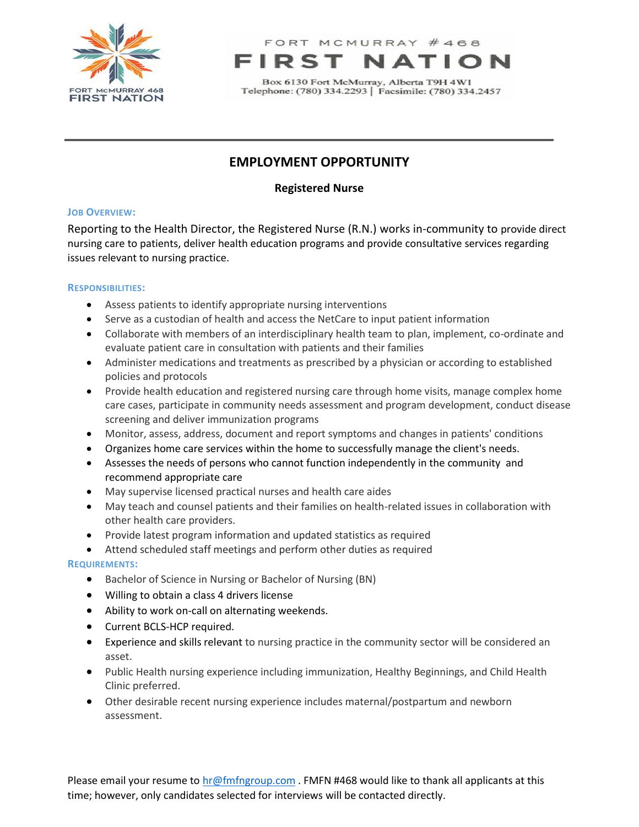

FORT MCMURRAY #468 R S

Box 6130 Fort McMurray, Alberta T9H 4W1 Telephone: (780) 334.2293 | Facsimile: (780) 334.2457

# **EMPLOYMENT OPPORTUNITY**

**Registered Nurse**

### **JOB OVERVIEW:**

Reporting to the Health Director, the Registered Nurse (R.N.) works in-community to provide direct nursing care to patients, deliver health education programs and provide consultative services regarding issues relevant to nursing practice.

## **RESPONSIBILITIES:**

- Assess patients to identify appropriate nursing interventions
- Serve as a custodian of health and access the NetCare to input patient information
- Collaborate with members of an interdisciplinary health team to plan, implement, co-ordinate and evaluate patient care in consultation with patients and their families
- Administer medications and treatments as prescribed by a physician or according to established policies and protocols
- Provide health education and registered nursing care through home visits, manage complex home care cases, participate in community needs assessment and program development, conduct disease screening and deliver immunization programs
- Monitor, assess, address, document and report symptoms and changes in patients' conditions
- Organizes home care services within the home to successfully manage the client's needs.
- Assesses the needs of persons who cannot function independently in the community and recommend appropriate care
- May supervise licensed practical nurses and health care aides
- May teach and counsel patients and their families on health-related issues in collaboration with other health care providers.
- Provide latest program information and updated statistics as required
- Attend scheduled staff meetings and perform other duties as required

### **REQUIREMENTS:**

- Bachelor of Science in Nursing or Bachelor of Nursing (BN)
- Willing to obtain a class 4 drivers license
- Ability to work on-call on alternating weekends.
- Current BCLS-HCP required.
- Experience and skills relevant to nursing practice in the community sector will be considered an asset.
- Public Health nursing experience including immunization, Healthy Beginnings, and Child Health Clinic preferred.
- Other desirable recent nursing experience includes maternal/postpartum and newborn assessment.

Please email your resume to [hr@fmfngroup.com](mailto:hr@fmfngroup.com) . FMFN #468 would like to thank all applicants at this time; however, only candidates selected for interviews will be contacted directly.